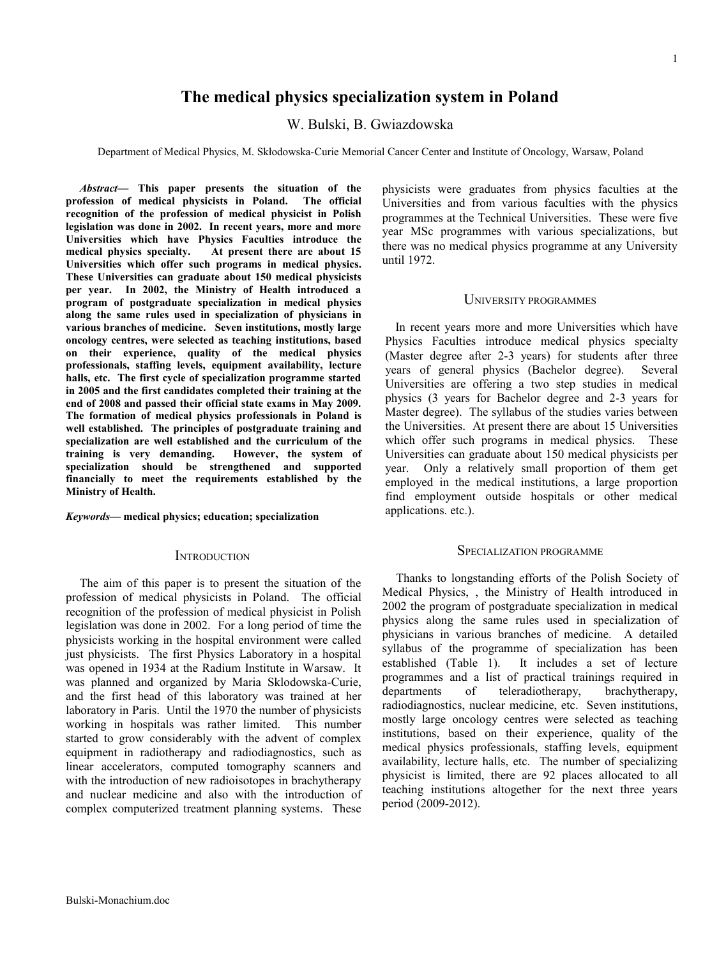# **The medical physics specialization system in Poland**

W. Bulski, B. Gwiazdowska

Department of Medical Physics, M. Skłodowska-Curie Memorial Cancer Center and Institute of Oncology, Warsaw, Poland

*Abstract***— This paper presents the situation of the profession of medical physicists in Poland. The official recognition of the profession of medical physicist in Polish legislation was done in 2002. In recent years, more and more Universities which have Physics Faculties introduce the medical physics specialty. At present there are about 15 Universities which offer such programs in medical physics. These Universities can graduate about 150 medical physicists per year. In 2002, the Ministry of Health introduced a program of postgraduate specialization in medical physics along the same rules used in specialization of physicians in various branches of medicine. Seven institutions, mostly large oncology centres, were selected as teaching institutions, based on their experience, quality of the medical physics professionals, staffing levels, equipment availability, lecture halls, etc. The first cycle of specialization programme started in 2005 and the first candidates completed their training at the end of 2008 and passed their official state exams in May 2009. The formation of medical physics professionals in Poland is well established. The principles of postgraduate training and specialization are well established and the curriculum of the training is very demanding. However, the system of specialization should be strengthened and supported financially to meet the requirements established by the Ministry of Health.**

*Keywords***— medical physics; education; specialization**

## **INTRODUCTION**

The aim of this paper is to present the situation of the profession of medical physicists in Poland. The official recognition of the profession of medical physicist in Polish legislation was done in 2002. For a long period of time the physicists working in the hospital environment were called just physicists. The first Physics Laboratory in a hospital was opened in 1934 at the Radium Institute in Warsaw. It was planned and organized by Maria Sklodowska-Curie, and the first head of this laboratory was trained at her laboratory in Paris. Until the 1970 the number of physicists working in hospitals was rather limited. This number started to grow considerably with the advent of complex equipment in radiotherapy and radiodiagnostics, such as linear accelerators, computed tomography scanners and with the introduction of new radioisotopes in brachytherapy and nuclear medicine and also with the introduction of complex computerized treatment planning systems. These physicists were graduates from physics faculties at the Universities and from various faculties with the physics programmes at the Technical Universities. These were five year MSc programmes with various specializations, but there was no medical physics programme at any University until 1972.

### UNIVERSITY PROGRAMMES

In recent years more and more Universities which have Physics Faculties introduce medical physics specialty (Master degree after 2-3 years) for students after three years of general physics (Bachelor degree). Several Universities are offering a two step studies in medical physics (3 years for Bachelor degree and 2-3 years for Master degree). The syllabus of the studies varies between the Universities. At present there are about 15 Universities which offer such programs in medical physics. These Universities can graduate about 150 medical physicists per year. Only a relatively small proportion of them get employed in the medical institutions, a large proportion find employment outside hospitals or other medical applications. etc.).

#### SPECIALIZATION PROGRAMME

Thanks to longstanding efforts of the Polish Society of Medical Physics, , the Ministry of Health introduced in 2002 the program of postgraduate specialization in medical physics along the same rules used in specialization of physicians in various branches of medicine. A detailed syllabus of the programme of specialization has been established (Table 1). It includes a set of lecture programmes and a list of practical trainings required in departments of teleradiotherapy, brachytherapy, radiodiagnostics, nuclear medicine, etc. Seven institutions, mostly large oncology centres were selected as teaching institutions, based on their experience, quality of the medical physics professionals, staffing levels, equipment availability, lecture halls, etc. The number of specializing physicist is limited, there are 92 places allocated to all teaching institutions altogether for the next three years period (2009-2012).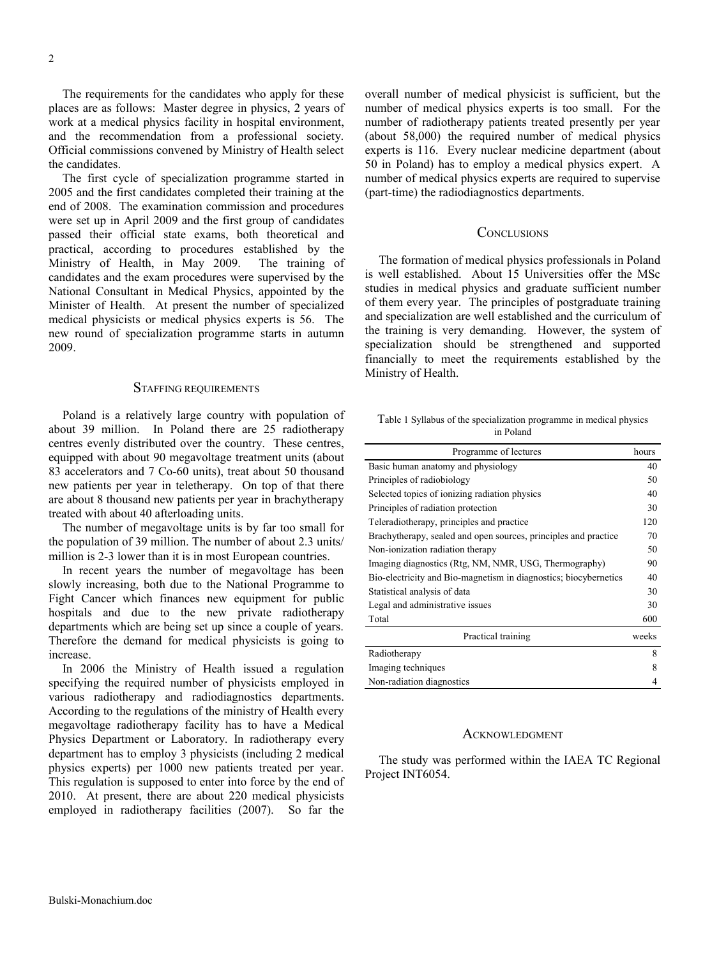The requirements for the candidates who apply for these places are as follows: Master degree in physics, 2 years of work at a medical physics facility in hospital environment, and the recommendation from a professional society. Official commissions convened by Ministry of Health select the candidates.

The first cycle of specialization programme started in 2005 and the first candidates completed their training at the end of 2008. The examination commission and procedures were set up in April 2009 and the first group of candidates passed their official state exams, both theoretical and practical, according to procedures established by the Ministry of Health, in May 2009. The training of candidates and the exam procedures were supervised by the National Consultant in Medical Physics, appointed by the Minister of Health. At present the number of specialized medical physicists or medical physics experts is 56. The new round of specialization programme starts in autumn 2009.

## STAFFING REQUIREMENTS

Poland is a relatively large country with population of about 39 million. In Poland there are 25 radiotherapy centres evenly distributed over the country. These centres, equipped with about 90 megavoltage treatment units (about 83 accelerators and 7 Co-60 units), treat about 50 thousand new patients per year in teletherapy. On top of that there are about 8 thousand new patients per year in brachytherapy treated with about 40 afterloading units.

The number of megavoltage units is by far too small for the population of 39 million. The number of about 2.3 units/ million is 2-3 lower than it is in most European countries.

In recent years the number of megavoltage has been slowly increasing, both due to the National Programme to Fight Cancer which finances new equipment for public hospitals and due to the new private radiotherapy departments which are being set up since a couple of years. Therefore the demand for medical physicists is going to increase.

In 2006 the Ministry of Health issued a regulation specifying the required number of physicists employed in various radiotherapy and radiodiagnostics departments. According to the regulations of the ministry of Health every megavoltage radiotherapy facility has to have a Medical Physics Department or Laboratory. In radiotherapy every department has to employ 3 physicists (including 2 medical physics experts) per 1000 new patients treated per year. This regulation is supposed to enter into force by the end of 2010. At present, there are about 220 medical physicists employed in radiotherapy facilities (2007). So far the overall number of medical physicist is sufficient, but the number of medical physics experts is too small. For the number of radiotherapy patients treated presently per year (about 58,000) the required number of medical physics experts is 116. Every nuclear medicine department (about 50 in Poland) has to employ a medical physics expert. A number of medical physics experts are required to supervise (part-time) the radiodiagnostics departments.

## **CONCLUSIONS**

The formation of medical physics professionals in Poland is well established. About 15 Universities offer the MSc studies in medical physics and graduate sufficient number of them every year. The principles of postgraduate training and specialization are well established and the curriculum of the training is very demanding. However, the system of specialization should be strengthened and supported financially to meet the requirements established by the Ministry of Health.

Table 1 Syllabus of the specialization programme in medical physics in Poland

| Programme of lectures                                            | hours |
|------------------------------------------------------------------|-------|
| Basic human anatomy and physiology                               | 40    |
| Principles of radiobiology                                       | 50    |
| Selected topics of ionizing radiation physics                    | 40    |
| Principles of radiation protection                               | 30    |
| Teleradiotherapy, principles and practice                        | 120   |
| Brachytherapy, sealed and open sources, principles and practice  | 70    |
| Non-ionization radiation therapy                                 | 50    |
| Imaging diagnostics (Rtg, NM, NMR, USG, Thermography)            | 90    |
| Bio-electricity and Bio-magnetism in diagnostics; biocybernetics | 40    |
| Statistical analysis of data                                     | 30    |
| Legal and administrative issues                                  | 30    |
| Total                                                            | 600   |
| Practical training                                               | weeks |
| Radiotherapy                                                     | 8     |
| Imaging techniques                                               | 8     |
| Non-radiation diagnostics                                        | 4     |

#### **ACKNOWLEDGMENT**

The study was performed within the IAEA TC Regional Project INT6054.